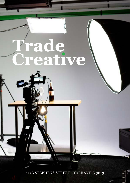# rade<br>Feative

177B STEPHENS STREET - YARRAVILE 3013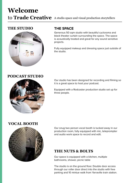# **Welcome** to **Trade Creative** A studio space and visual production storytellers

## **THE STUDIO**



## **THE SPACE**

Generous 50 sqm studio with beautiful cyclorama and black theater curtain surrounding the space. The space is acoustically treated and great for any sound sensitive projects.

Fully equipped makeup and dressing space just outside of the studio.

## **PODCAST STUDIO**



Our studio has been designed for recording and filming so it is a great space to host your podcast.

Equipped with a Rodcaster production studio set up for three people.

## **VOCAL BOOTH**



Our snug two person vocal booth is tucked away in our production room, fully equipped with mic, teleprompter and audio work space to record and edit.

# **THE NUTS & BOLTS**

Our space is equipped with a kitchen, multiple bathrooms, shower, picnic table

The studio is on the ground floor. Double door access through our roller door direct into the studio with free parking and 10 mintue walk from Yarraville train station.